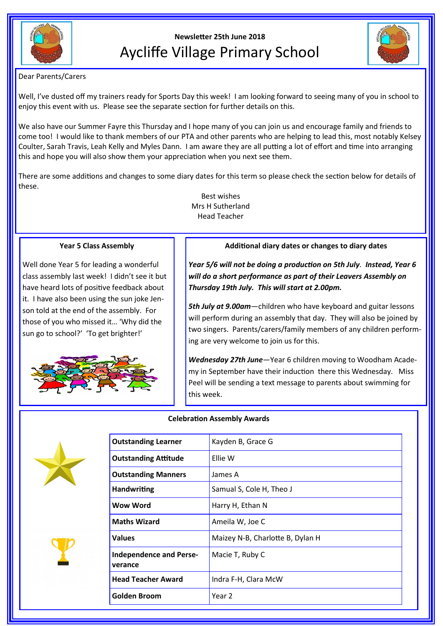

# **Newsletter 25th June 2018** Aycliffe Village Primary School



Dear Parents/Carers

Well, I've dusted off my trainers ready for Sports Day this week! I am looking forward to seeing many of you in school to enjoy this event with us. Please see the separate section for further details on this.

We also have our Summer Fayre this Thursday and I hope many of you can join us and encourage family and friends to come too! I would like to thank members of our PTA and other parents who are helping to lead this, most notably Kelsey Coulter, Sarah Travis, Leah Kelly and Myles Dann. I am aware they are all putting a lot of effort and time into arranging this and hope you will also show them your appreciation when you next see them.

There are some additions and changes to some diary dates for this term so please check the section below for details of these.

Best wishes Mrs H Sutherland Head Teacher

# **Year 5 Class Assembly**

Well done Year 5 for leading a wonderful class assembly last week! I didn't see it but have heard lots of positive feedback about it. I have also been using the sun joke Jenson told at the end of the assembly. For those of you who missed it… 'Why did the sun go to school?' 'To get brighter!'



# **Additional diary dates or changes to diary dates**

*Year 5/6 will not be doing a production on 5th July. Instead, Year 6 will do a short performance as part of their Leavers Assembly on Thursday 19th July. This will start at 2.00pm.*

*5th July at 9.00am*—children who have keyboard and guitar lessons will perform during an assembly that day. They will also be joined by two singers. Parents/carers/family members of any children performing are very welcome to join us for this.

*Wednesday 27th June*—Year 6 children moving to Woodham Academy in September have their induction there this Wednesday. Miss Peel will be sending a text message to parents about swimming for this week.







| <b>Outstanding Learner</b>                | Kayden B, Grace G                |
|-------------------------------------------|----------------------------------|
| <b>Outstanding Attitude</b>               | Ellie W                          |
| <b>Outstanding Manners</b>                | James A                          |
| <b>Handwriting</b>                        | Samual S, Cole H, Theo J         |
| <b>Wow Word</b>                           | Harry H, Ethan N                 |
| <b>Maths Wizard</b>                       | Ameila W, Joe C                  |
| <b>Values</b>                             | Maizey N-B, Charlotte B, Dylan H |
| <b>Independence and Perse-</b><br>verance | Macie T, Ruby C                  |
| <b>Head Teacher Award</b>                 | Indra F-H, Clara McW             |
| Golden Broom                              | Year 2                           |
|                                           |                                  |